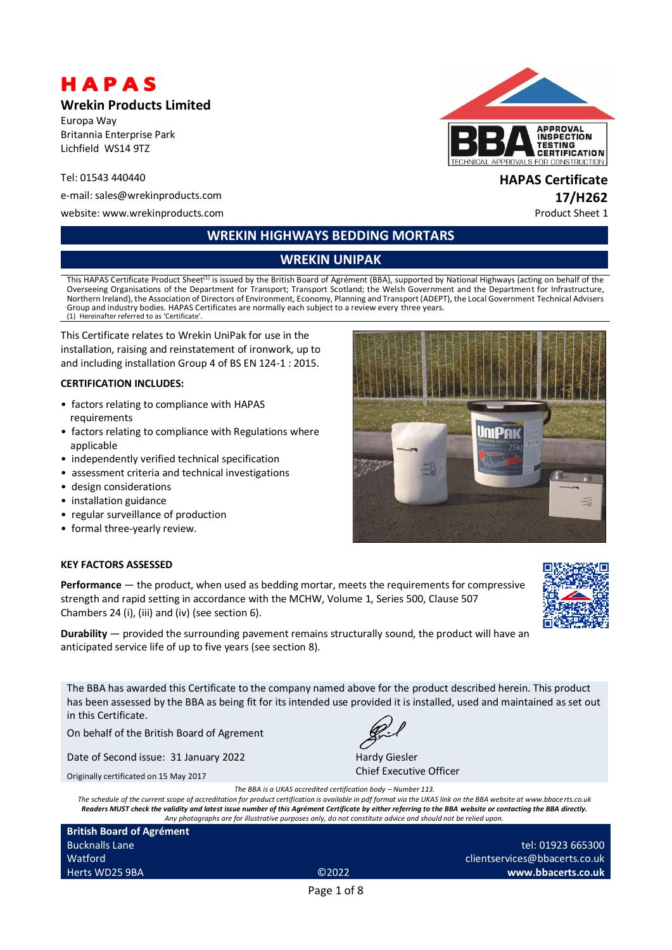# HAPAS

### **Wrekin Products Limited**

Europa Way Britannia Enterprise Park Lichfield WS14 9TZ

### Tel: 01543 440440 **HAPAS Certificate**

e-mail: sales@wrekinproducts.com **17/H262**

website: www.wrekinproducts.com example of the example of the example of the example of the example of the example of the example of the example of the example of the example of the example of the example of the example of

# **WREKIN HIGHWAYS BEDDING MORTARS**

# **WREKIN UNIPAK**

This HAPAS Certificate Product Sheet<sup>(1)</sup> is issued by the British Board of Agrément (BBA), supported by National Highways (acting on behalf of the Overseeing Organisations of the Department for Transport; Transport Scotland; the Welsh Government and the Department for Infrastructure, Northern Ireland), the Association of Directors of Environment, Economy, Planning and Transport (ADEPT), the Local Government Technical Advisers Group and industry bodies. HAPAS Certificates are normally each subject to a review every three years. (1) Hereinafter referred to as 'Certificate'.

This Certificate relates to Wrekin UniPak for use in the installation, raising and reinstatement of ironwork, up to and including installation Group 4 of BS EN 124-1 : 2015.

### **CERTIFICATION INCLUDES:**

- factors relating to compliance with HAPAS requirements
- factors relating to compliance with Regulations where applicable
- independently verified technical specification
- assessment criteria and technical investigations
- design considerations
- installation guidance
- regular surveillance of production
- formal three-yearly review.

### **KEY FACTORS ASSESSED**

**Performance** — the product, when used as bedding mortar, meets the requirements for compressive strength and rapid setting in accordance with the MCHW, Volume 1, Series 500, Clause 507 Chambers 24 (i), (iii) and (iv) (see section 6).

**Durability** — provided the surrounding pavement remains structurally sound, the product will have an anticipated service life of up to five years (see section 8).

The BBA has awarded this Certificate to the company named above for the product described herein. This product has been assessed by the BBA as being fit for its intended use provided it is installed, used and maintained as set out in this Certificate.

On behalf of the British Board of Agrement

Date of Second issue: 31 January 2022

Originally certificated on 15 May 2017



Hardy Giesler Chief Executive Officer

*The BBA is a UKAS accredited certification body – Number 113. The schedule of the current scope of accreditation for product certification is available in pdf format via the UKAS link on the BBA website at www.bbace rts.co.uk Readers MUST check the validity and latest issue number of this Agrément Certificate by either referring to the BBA website or contacting the BBA directly. Any photographs are for illustrative purposes only, do not constitute advice and should not be relied upon.*

**British Board of Agrément** Bucknalls Lane Watford Herts WD25 9BA ©2022

clientservices@bbacerts.co.uk **www.bbacerts.co.uk**

Page 1 of 8



# **UniPAK**

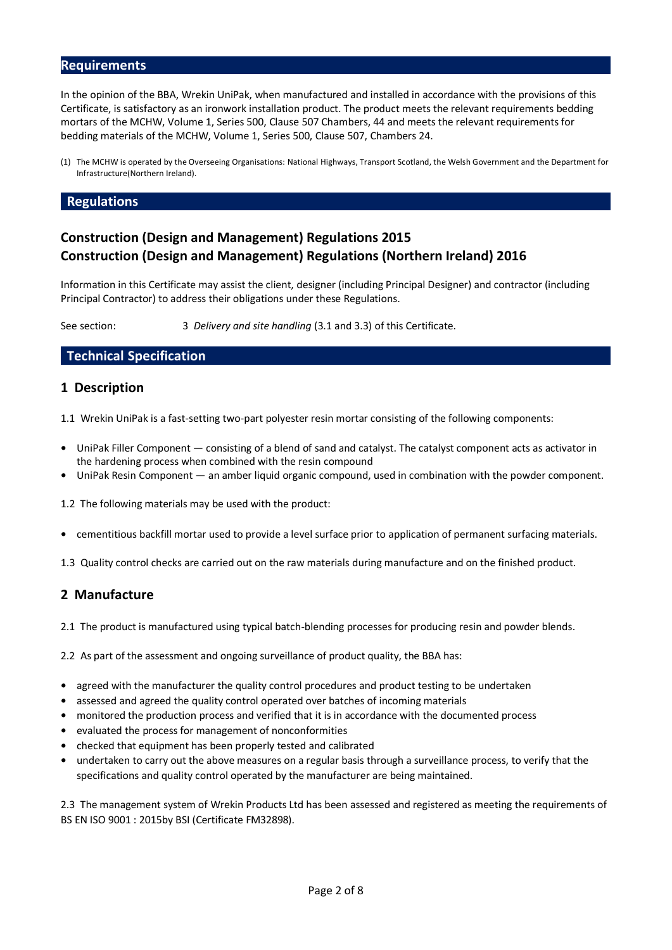### **Requirements**

In the opinion of the BBA, Wrekin UniPak, when manufactured and installed in accordance with the provisions of this Certificate, is satisfactory as an ironwork installation product. The product meets the relevant requirements bedding mortars of the MCHW, Volume 1, Series 500, Clause 507 Chambers, 44 and meets the relevant requirements for bedding materials of the MCHW, Volume 1, Series 500, Clause 507, Chambers 24.

(1) The MCHW is operated by the Overseeing Organisations: National Highways, Transport Scotland, the Welsh Government and the Department for Infrastructure(Northern Ireland).

### **Regulations**

# **Construction (Design and Management) Regulations 2015 Construction (Design and Management) Regulations (Northern Ireland) 2016**

Information in this Certificate may assist the client, designer (including Principal Designer) and contractor (including Principal Contractor) to address their obligations under these Regulations.

See section: 3 *Delivery and site handling* (3.1 and 3.3) of this Certificate.

### **Technical Specification**

### **1 Description**

1.1 Wrekin UniPak is a fast-setting two-part polyester resin mortar consisting of the following components:

- **•** UniPak Filler Component consisting of a blend of sand and catalyst. The catalyst component acts as activator in the hardening process when combined with the resin compound
- **•** UniPak Resin Component an amber liquid organic compound, used in combination with the powder component.

1.2 The following materials may be used with the product:

**•** cementitious backfill mortar used to provide a level surface prior to application of permanent surfacing materials.

1.3 Quality control checks are carried out on the raw materials during manufacture and on the finished product.

### **2 Manufacture**

2.1 The product is manufactured using typical batch-blending processes for producing resin and powder blends.

2.2 As part of the assessment and ongoing surveillance of product quality, the BBA has:

- agreed with the manufacturer the quality control procedures and product testing to be undertaken
- **•** assessed and agreed the quality control operated over batches of incoming materials
- **•** monitored the production process and verified that it is in accordance with the documented process
- **•** evaluated the process for management of nonconformities
- **•** checked that equipment has been properly tested and calibrated
- **•** undertaken to carry out the above measures on a regular basis through a surveillance process, to verify that the specifications and quality control operated by the manufacturer are being maintained.

2.3 The management system of Wrekin Products Ltd has been assessed and registered as meeting the requirements of BS EN ISO 9001 : 2015by BSI (Certificate FM32898).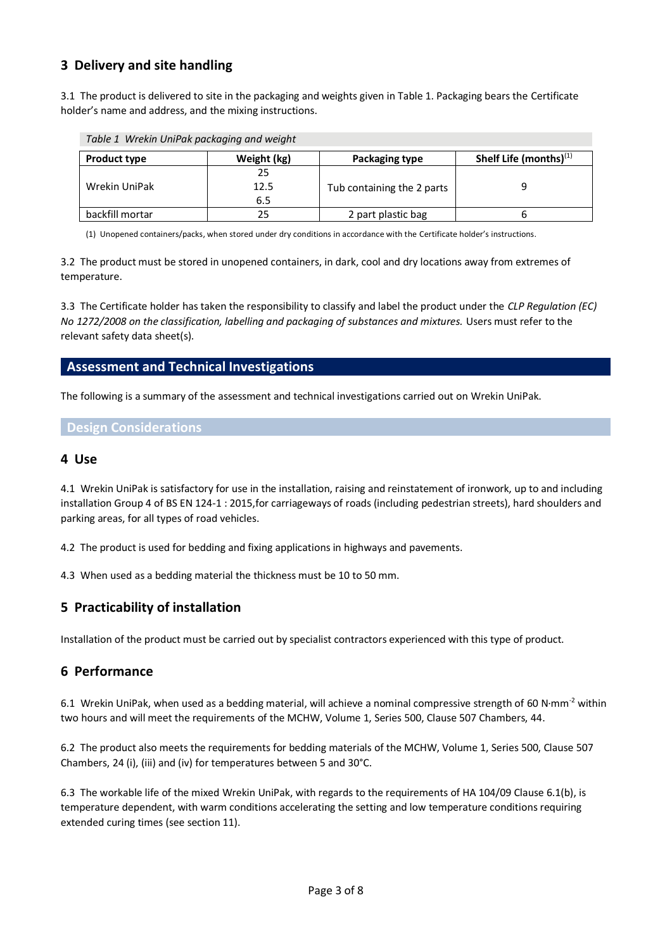# **3 Delivery and site handling**

3.1 The product is delivered to site in the packaging and weights given in Table 1. Packaging bears the Certificate holder's name and address, and the mixing instructions.

| Table 1 Wrekin UniPak packaging and weight |                   |                            |                           |  |
|--------------------------------------------|-------------------|----------------------------|---------------------------|--|
| <b>Product type</b>                        | Weight (kg)       | <b>Packaging type</b>      | Shelf Life (months) $(1)$ |  |
| Wrekin UniPak                              | 25<br>12.5<br>6.5 | Tub containing the 2 parts |                           |  |
| backfill mortar                            | 25                | 2 part plastic bag         |                           |  |

(1) Unopened containers/packs, when stored under dry conditions in accordance with the Certificate holder's instructions.

3.2 The product must be stored in unopened containers, in dark, cool and dry locations away from extremes of temperature.

3.3 The Certificate holder has taken the responsibility to classify and label the product under the *CLP Regulation (EC) No 1272/2008 on the classification, labelling and packaging of substances and mixtures.* Users must refer to the relevant safety data sheet(s).

### **Assessment and Technical Investigations**

*Table 1 Wrekin UniPak packaging and weight*

The following is a summary of the assessment and technical investigations carried out on Wrekin UniPak.

### **Design Considerations**

### **4 Use**

4.1 Wrekin UniPak is satisfactory for use in the installation, raising and reinstatement of ironwork, up to and including installation Group 4 of BS EN 124-1 : 2015,for carriageways of roads (including pedestrian streets), hard shoulders and parking areas, for all types of road vehicles.

4.2 The product is used for bedding and fixing applications in highways and pavements.

4.3 When used as a bedding material the thickness must be 10 to 50 mm.

# **5 Practicability of installation**

Installation of the product must be carried out by specialist contractors experienced with this type of product.

# **6 Performance**

6.1 Wrekin UniPak, when used as a bedding material, will achieve a nominal compressive strength of 60 N·mm<sup>-2</sup> within two hours and will meet the requirements of the MCHW, Volume 1, Series 500, Clause 507 Chambers, 44.

6.2 The product also meets the requirements for bedding materials of the MCHW, Volume 1, Series 500, Clause 507 Chambers, 24 (i), (iii) and (iv) for temperatures between 5 and 30°C.

6.3 The workable life of the mixed Wrekin UniPak, with regards to the requirements of HA 104/09 Clause 6.1(b), is temperature dependent, with warm conditions accelerating the setting and low temperature conditions requiring extended curing times (see section 11).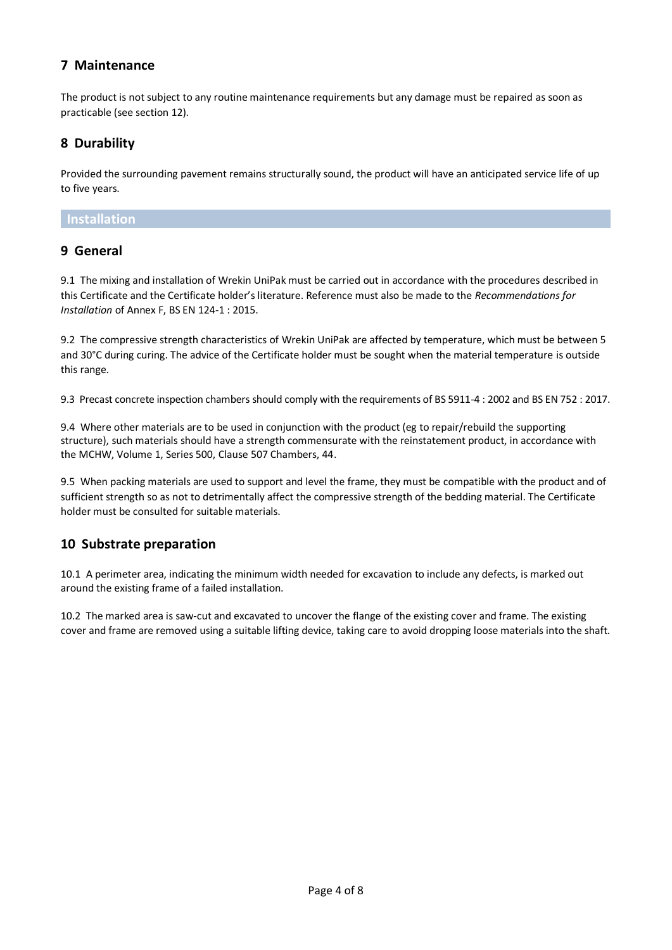# **7 Maintenance**

The product is not subject to any routine maintenance requirements but any damage must be repaired as soon as practicable (see section 12).

# **8 Durability**

Provided the surrounding pavement remains structurally sound, the product will have an anticipated service life of up to five years.

### **Installation**

# **9 General**

9.1 The mixing and installation of Wrekin UniPak must be carried out in accordance with the procedures described in this Certificate and the Certificate holder's literature. Reference must also be made to the *Recommendations for Installation* of Annex F, BS EN 124-1 : 2015.

9.2 The compressive strength characteristics of Wrekin UniPak are affected by temperature, which must be between 5 and 30°C during curing. The advice of the Certificate holder must be sought when the material temperature is outside this range.

9.3 Precast concrete inspection chambers should comply with the requirements of BS 5911-4 : 2002 and BS EN 752 : 2017.

9.4 Where other materials are to be used in conjunction with the product (eg to repair/rebuild the supporting structure), such materials should have a strength commensurate with the reinstatement product, in accordance with the MCHW, Volume 1, Series 500, Clause 507 Chambers, 44.

9.5 When packing materials are used to support and level the frame, they must be compatible with the product and of sufficient strength so as not to detrimentally affect the compressive strength of the bedding material. The Certificate holder must be consulted for suitable materials.

# **10 Substrate preparation**

10.1 A perimeter area, indicating the minimum width needed for excavation to include any defects, is marked out around the existing frame of a failed installation.

10.2 The marked area is saw-cut and excavated to uncover the flange of the existing cover and frame. The existing cover and frame are removed using a suitable lifting device, taking care to avoid dropping loose materials into the shaft.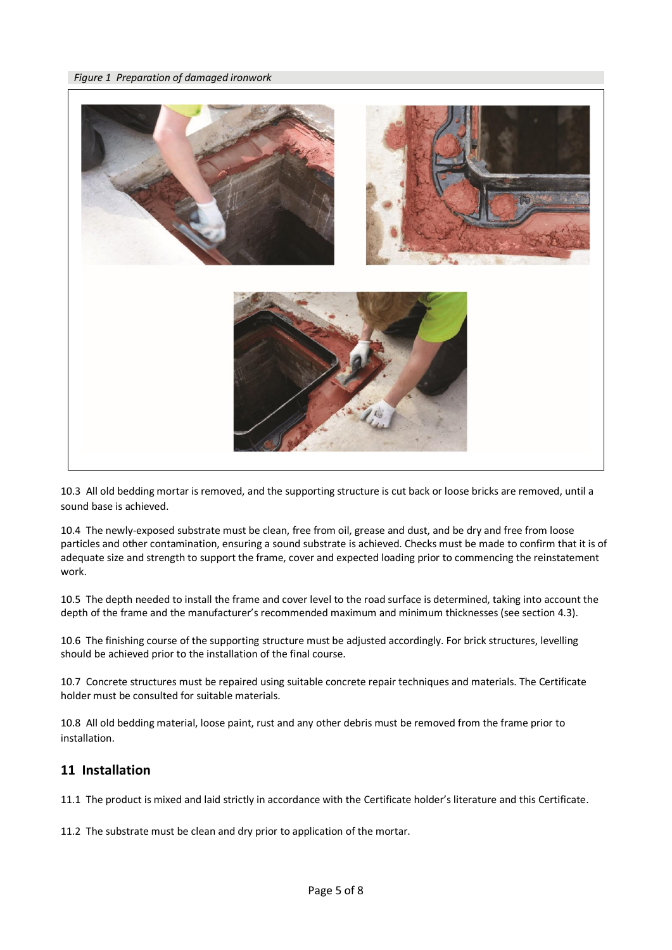

10.3 All old bedding mortar is removed, and the supporting structure is cut back or loose bricks are removed, until a sound base is achieved.

10.4 The newly-exposed substrate must be clean, free from oil, grease and dust, and be dry and free from loose particles and other contamination, ensuring a sound substrate is achieved. Checks must be made to confirm that it is of adequate size and strength to support the frame, cover and expected loading prior to commencing the reinstatement work.

10.5 The depth needed to install the frame and cover level to the road surface is determined, taking into account the depth of the frame and the manufacturer's recommended maximum and minimum thicknesses (see section 4.3).

10.6 The finishing course of the supporting structure must be adjusted accordingly. For brick structures, levelling should be achieved prior to the installation of the final course.

10.7 Concrete structures must be repaired using suitable concrete repair techniques and materials. The Certificate holder must be consulted for suitable materials.

10.8 All old bedding material, loose paint, rust and any other debris must be removed from the frame prior to installation.

# **11 Installation**

11.1 The product is mixed and laid strictly in accordance with the Certificate holder's literature and this Certificate.

11.2 The substrate must be clean and dry prior to application of the mortar.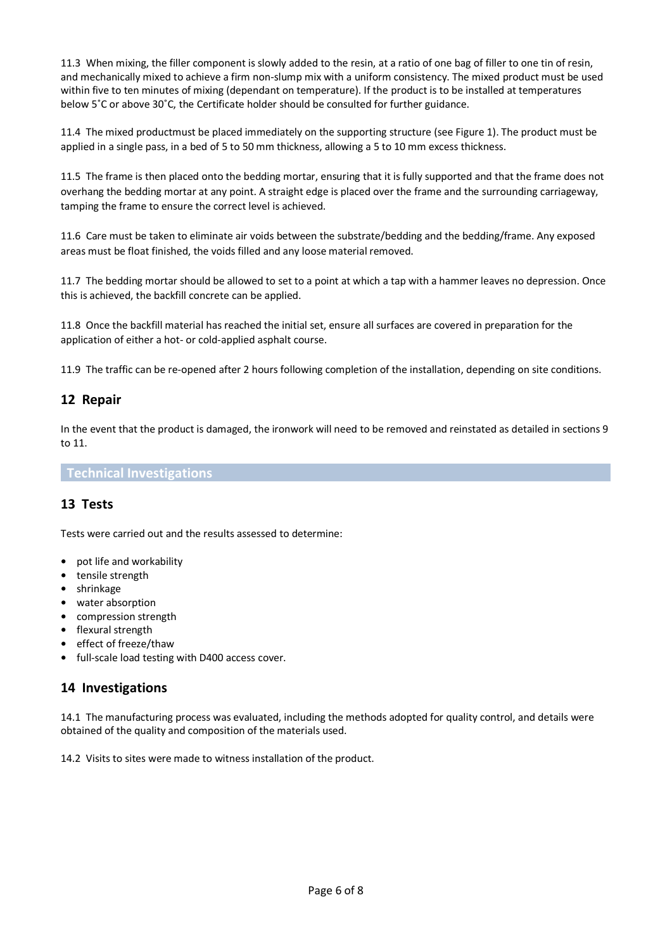11.3 When mixing, the filler component is slowly added to the resin, at a ratio of one bag of filler to one tin of resin, and mechanically mixed to achieve a firm non-slump mix with a uniform consistency. The mixed product must be used within five to ten minutes of mixing (dependant on temperature). If the product is to be installed at temperatures below 5˚C or above 30˚C, the Certificate holder should be consulted for further guidance.

11.4 The mixed productmust be placed immediately on the supporting structure (see Figure 1). The product must be applied in a single pass, in a bed of 5 to 50 mm thickness, allowing a 5 to 10 mm excess thickness.

11.5 The frame is then placed onto the bedding mortar, ensuring that it is fully supported and that the frame does not overhang the bedding mortar at any point. A straight edge is placed over the frame and the surrounding carriageway, tamping the frame to ensure the correct level is achieved.

11.6 Care must be taken to eliminate air voids between the substrate/bedding and the bedding/frame. Any exposed areas must be float finished, the voids filled and any loose material removed.

11.7 The bedding mortar should be allowed to set to a point at which a tap with a hammer leaves no depression. Once this is achieved, the backfill concrete can be applied.

11.8 Once the backfill material has reached the initial set, ensure all surfaces are covered in preparation for the application of either a hot- or cold-applied asphalt course.

11.9 The traffic can be re-opened after 2 hours following completion of the installation, depending on site conditions.

# **12 Repair**

In the event that the product is damaged, the ironwork will need to be removed and reinstated as detailed in sections 9 to 11.

### **Technical Investigations**

# **13 Tests**

Tests were carried out and the results assessed to determine:

- **•** pot life and workability
- **•** tensile strength
- **•** shrinkage
- **•** water absorption
- **•** compression strength
- **•** flexural strength
- **•** effect of freeze/thaw
- **•** full-scale load testing with D400 access cover.

# **14 Investigations**

14.1 The manufacturing process was evaluated, including the methods adopted for quality control, and details were obtained of the quality and composition of the materials used.

14.2 Visits to sites were made to witness installation of the product.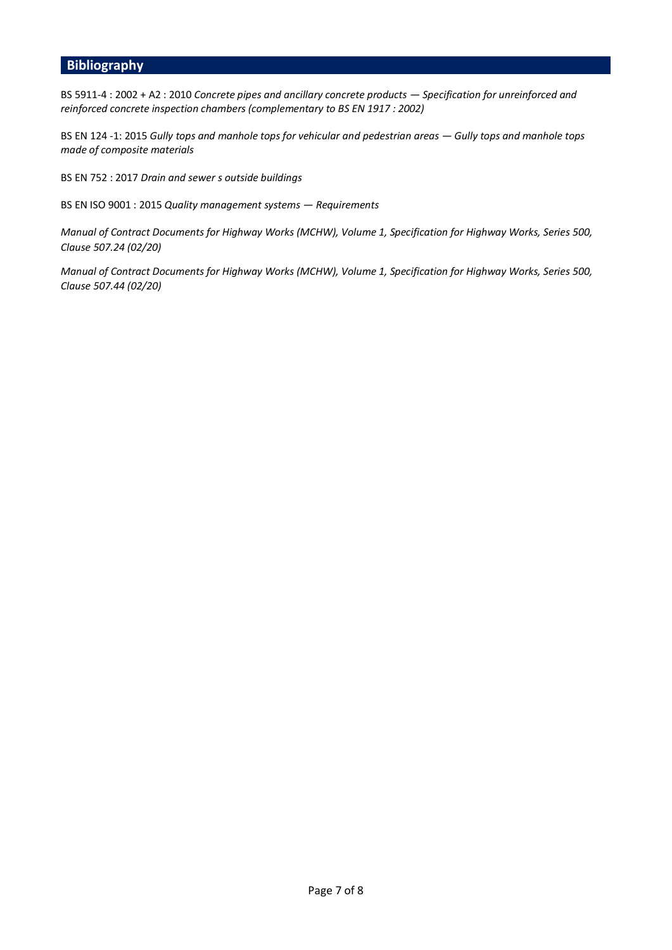# **Bibliography**

BS 5911-4 : 2002 + A2 : 2010 *Concrete pipes and ancillary concrete products — Specification for unreinforced and reinforced concrete inspection chambers (complementary to BS EN 1917 : 2002)*

BS EN 124 -1: 2015 *Gully tops and manhole tops for vehicular and pedestrian areas - Gully tops and manhole tops made of composite materials*

BS EN 752 : 2017 *Drain and sewer s outside buildings*

BS EN ISO 9001 : 2015 *Quality management systems — Requirements*

*Manual of Contract Documents for Highway Works (MCHW), Volume 1, Specification for Highway Works, Series 500, Clause 507.24 (02/20)* 

*Manual of Contract Documents for Highway Works (MCHW), Volume 1, Specification for Highway Works, Series 500, Clause 507.44 (02/20)*